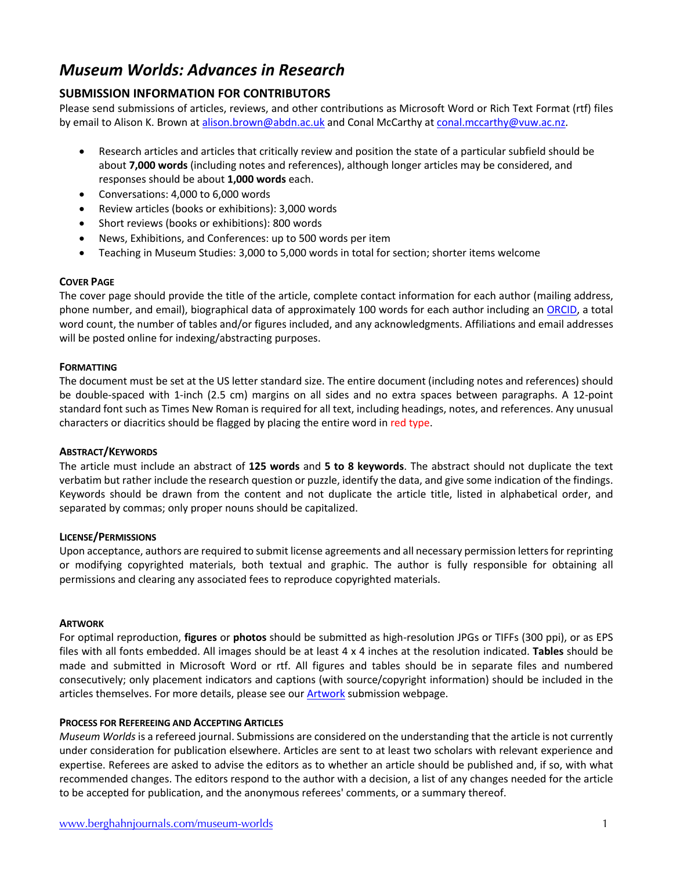## *Museum Worlds: Advances in Research*

## **SUBMISSION INFORMATION FOR CONTRIBUTORS**

Please send submissions of articles, reviews, and other contributions as Microsoft Word or Rich Text Format (rtf) files by email to Alison K. Brown at alison.brown@abdn.ac.uk and Conal McCarthy at conal.mccarthy@vuw.ac.nz.

- Research articles and articles that critically review and position the state of a particular subfield should be about **7,000 words** (including notes and references), although longer articles may be considered, and responses should be about **1,000 words** each.
- Conversations: 4,000 to 6,000 words
- Review articles (books or exhibitions): 3,000 words
- Short reviews (books or exhibitions): 800 words
- News, Exhibitions, and Conferences: up to 500 words per item
- Teaching in Museum Studies: 3,000 to 5,000 words in total for section; shorter items welcome

#### **COVER PAGE**

The cover page should provide the title of the article, complete contact information for each author (mailing address, phone number, and email), biographical data of approximately 100 words for each author including an ORCID, a total word count, the number of tables and/or figures included, and any acknowledgments. Affiliations and email addresses will be posted online for indexing/abstracting purposes.

#### **FORMATTING**

The document must be set at the US letter standard size. The entire document (including notes and references) should be double-spaced with 1-inch (2.5 cm) margins on all sides and no extra spaces between paragraphs. A 12-point standard font such as Times New Roman is required for all text, including headings, notes, and references. Any unusual characters or diacritics should be flagged by placing the entire word in red type.

#### **ABSTRACT/KEYWORDS**

The article must include an abstract of **125 words** and **5 to 8 keywords**. The abstract should not duplicate the text verbatim but rather include the research question or puzzle, identify the data, and give some indication of the findings. Keywords should be drawn from the content and not duplicate the article title, listed in alphabetical order, and separated by commas; only proper nouns should be capitalized.

#### **LICENSE/PERMISSIONS**

Upon acceptance, authors are required to submit license agreements and all necessary permission letters for reprinting or modifying copyrighted materials, both textual and graphic. The author is fully responsible for obtaining all permissions and clearing any associated fees to reproduce copyrighted materials.

#### **ARTWORK**

For optimal reproduction, **figures** or **photos** should be submitted as high-resolution JPGs or TIFFs (300 ppi), or as EPS files with all fonts embedded. All images should be at least 4 x 4 inches at the resolution indicated. **Tables** should be made and submitted in Microsoft Word or rtf. All figures and tables should be in separate files and numbered consecutively; only placement indicators and captions (with source/copyright information) should be included in the articles themselves. For more details, please see our Artwork submission webpage.

#### **PROCESS FOR REFEREEING AND ACCEPTING ARTICLES**

*Museum Worlds* is a refereed journal. Submissions are considered on the understanding that the article is not currently under consideration for publication elsewhere. Articles are sent to at least two scholars with relevant experience and expertise. Referees are asked to advise the editors as to whether an article should be published and, if so, with what recommended changes. The editors respond to the author with a decision, a list of any changes needed for the article to be accepted for publication, and the anonymous referees' comments, or a summary thereof.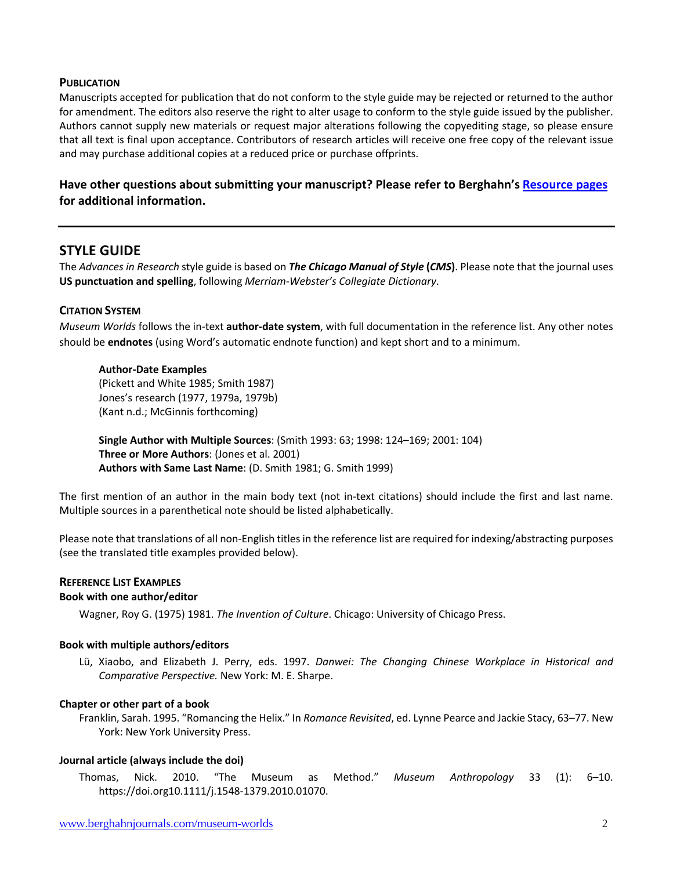#### **PUBLICATION**

Manuscripts accepted for publication that do not conform to the style guide may be rejected or returned to the author for amendment. The editors also reserve the right to alter usage to conform to the style guide issued by the publisher. Authors cannot supply new materials or request major alterations following the copyediting stage, so please ensure that all text is final upon acceptance. Contributors of research articles will receive one free copy of the relevant issue and may purchase additional copies at a reduced price or purchase offprints.

## **Have other questions about submitting your manuscript? Please refer to Berghahn's Resource pages for additional information.**

## **STYLE GUIDE**

The *Advances in Research* style guide is based on *The Chicago Manual of Style* **(***CMS***)**. Please note that the journal uses **US punctuation and spelling**, following *Merriam-Webster's Collegiate Dictionary*.

#### **CITATION SYSTEM**

*Museum Worlds* follows the in-text **author-date system**, with full documentation in the reference list. Any other notes should be **endnotes** (using Word's automatic endnote function) and kept short and to a minimum.

#### **Author-Date Examples**

(Pickett and White 1985; Smith 1987) Jones's research (1977, 1979a, 1979b) (Kant n.d.; McGinnis forthcoming)

**Single Author with Multiple Sources**: (Smith 1993: 63; 1998: 124–169; 2001: 104) **Three or More Authors**: (Jones et al. 2001) **Authors with Same Last Name**: (D. Smith 1981; G. Smith 1999)

The first mention of an author in the main body text (not in-text citations) should include the first and last name. Multiple sources in a parenthetical note should be listed alphabetically.

Please note that translations of all non-English titles in the reference list are required for indexing/abstracting purposes (see the translated title examples provided below).

# **REFERENCE LIST EXAMPLES**

## **Book with one author/editor**

Wagner, Roy G. (1975) 1981. *The Invention of Culture*. Chicago: University of Chicago Press.

#### **Book with multiple authors/editors**

Lü, Xiaobo, and Elizabeth J. Perry, eds. 1997. *Danwei: The Changing Chinese Workplace in Historical and Comparative Perspective.* New York: M. E. Sharpe.

#### **Chapter or other part of a book**

Franklin, Sarah. 1995. "Romancing the Helix." In *Romance Revisited*, ed. Lynne Pearce and Jackie Stacy, 63–77. New York: New York University Press.

#### **Journal article (always include the doi)**

Thomas, Nick. 2010. "The Museum as Method." *Museum Anthropology* 33 (1): 6–10. https://doi.org10.1111/j.1548-1379.2010.01070.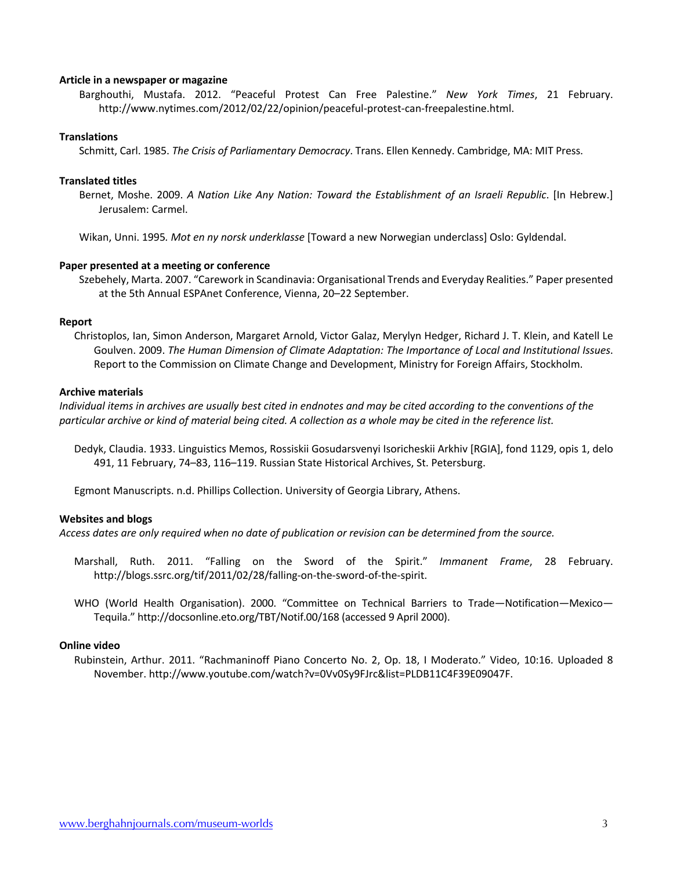#### **Article in a newspaper or magazine**

Barghouthi, Mustafa. 2012. "Peaceful Protest Can Free Palestine." *New York Times*, 21 February. http://www.nytimes.com/2012/02/22/opinion/peaceful-protest-can-freepalestine.html.

#### **Translations**

Schmitt, Carl. 1985. *The Crisis of Parliamentary Democracy*. Trans. Ellen Kennedy. Cambridge, MA: MIT Press.

#### **Translated titles**

Bernet, Moshe. 2009. *A Nation Like Any Nation: Toward the Establishment of an Israeli Republic*. [In Hebrew.] Jerusalem: Carmel.

Wikan, Unni. 1995*. Mot en ny norsk underklasse* [Toward a new Norwegian underclass] Oslo: Gyldendal.

#### **Paper presented at a meeting or conference**

Szebehely, Marta. 2007. "Carework in Scandinavia: Organisational Trends and Everyday Realities." Paper presented at the 5th Annual ESPAnet Conference, Vienna, 20–22 September.

#### **Report**

Christoplos, Ian, Simon Anderson, Margaret Arnold, Victor Galaz, Merylyn Hedger, Richard J. T. Klein, and Katell Le Goulven. 2009. *The Human Dimension of Climate Adaptation: The Importance of Local and Institutional Issues*. Report to the Commission on Climate Change and Development, Ministry for Foreign Affairs, Stockholm.

#### **Archive materials**

*Individual items in archives are usually best cited in endnotes and may be cited according to the conventions of the particular archive or kind of material being cited. A collection as a whole may be cited in the reference list.*

Dedyk, Claudia. 1933. Linguistics Memos, Rossiskii Gosudarsvenyi Isoricheskii Arkhiv [RGIA], fond 1129, opis 1, delo 491, 11 February, 74–83, 116–119. Russian State Historical Archives, St. Petersburg.

Egmont Manuscripts. n.d. Phillips Collection. University of Georgia Library, Athens.

#### **Websites and blogs**

*Access dates are only required when no date of publication or revision can be determined from the source.*

- Marshall, Ruth. 2011. "Falling on the Sword of the Spirit." *Immanent Frame*, 28 February. http://blogs.ssrc.org/tif/2011/02/28/falling-on-the-sword-of-the-spirit.
- WHO (World Health Organisation). 2000. "Committee on Technical Barriers to Trade—Notification—Mexico— Tequila." http://docsonline.eto.org/TBT/Notif.00/168 (accessed 9 April 2000).

#### **Online video**

Rubinstein, Arthur. 2011. "Rachmaninoff Piano Concerto No. 2, Op. 18, I Moderato." Video, 10:16. Uploaded 8 November. http://www.youtube.com/watch?v=0Vv0Sy9FJrc&list=PLDB11C4F39E09047F.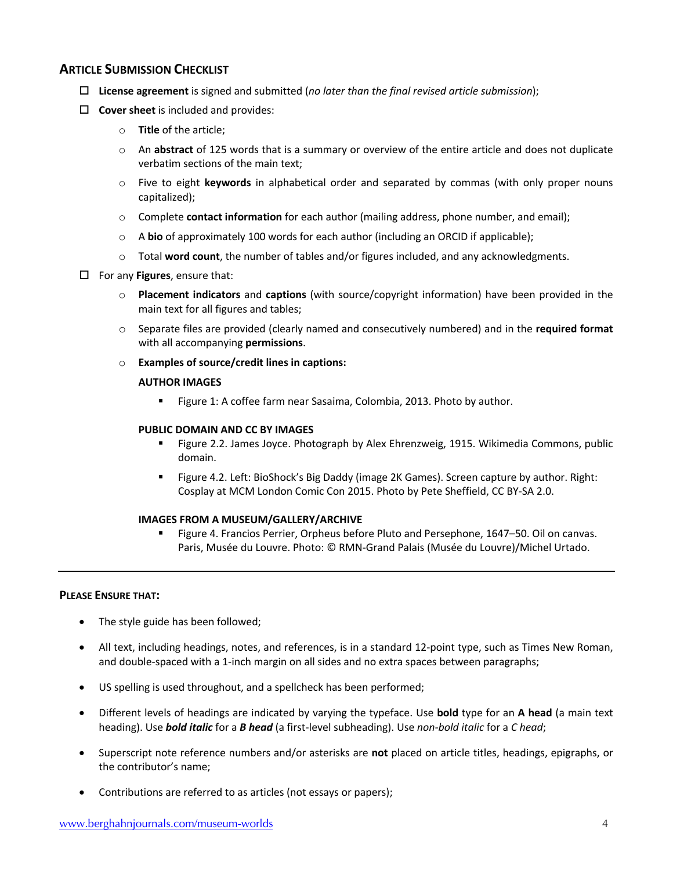### **ARTICLE SUBMISSION CHECKLIST**

- o **License agreement** is signed and submitted (*no later than the final revised article submission*);
- $\Box$  **Cover sheet** is included and provides:
	- o **Title** of the article;
	- o An **abstract** of 125 words that is a summary or overview of the entire article and does not duplicate verbatim sections of the main text;
	- o Five to eight **keywords** in alphabetical order and separated by commas (with only proper nouns capitalized);
	- o Complete **contact information** for each author (mailing address, phone number, and email);
	- o A **bio** of approximately 100 words for each author (including an ORCID if applicable);
	- o Total **word count**, the number of tables and/or figures included, and any acknowledgments.
- $\Box$  For any **Figures**, ensure that:
	- o **Placement indicators** and **captions** (with source/copyright information) have been provided in the main text for all figures and tables;
	- o Separate files are provided (clearly named and consecutively numbered) and in the **required format** with all accompanying **permissions**.
	- o **Examples of source/credit lines in captions:**

#### **AUTHOR IMAGES**

■ Figure 1: A coffee farm near Sasaima, Colombia, 2013. Photo by author.

#### **PUBLIC DOMAIN AND CC BY IMAGES**

- § Figure 2.2. James Joyce. Photograph by Alex Ehrenzweig, 1915. Wikimedia Commons, public domain.
- § Figure 4.2. Left: BioShock's Big Daddy (image 2K Games). Screen capture by author. Right: Cosplay at MCM London Comic Con 2015. Photo by Pete Sheffield, CC BY-SA 2.0.

#### **IMAGES FROM A MUSEUM/GALLERY/ARCHIVE**

§ Figure 4. Francios Perrier, Orpheus before Pluto and Persephone, 1647–50. Oil on canvas. Paris, Musée du Louvre. Photo: © RMN-Grand Palais (Musée du Louvre)/Michel Urtado.

#### **PLEASE ENSURE THAT:**

- The style guide has been followed;
- All text, including headings, notes, and references, is in a standard 12-point type, such as Times New Roman, and double-spaced with a 1-inch margin on all sides and no extra spaces between paragraphs;
- US spelling is used throughout, and a spellcheck has been performed;
- Different levels of headings are indicated by varying the typeface. Use **bold** type for an **A head** (a main text heading). Use *bold italic* for a *B head* (a first-level subheading). Use *non-bold italic* for a *C head*;
- Superscript note reference numbers and/or asterisks are **not** placed on article titles, headings, epigraphs, or the contributor's name;
- Contributions are referred to as articles (not essays or papers);